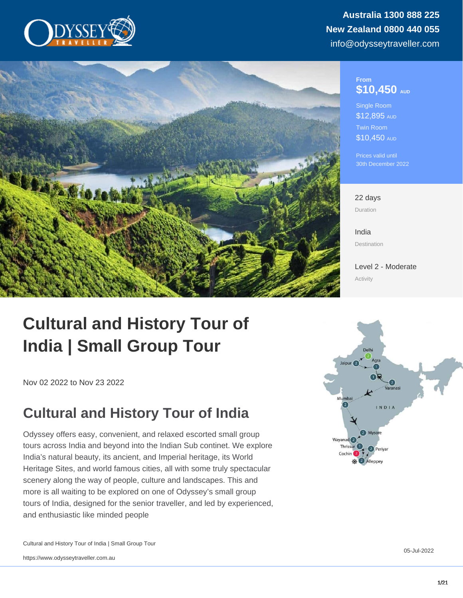## From \$10,450 AUD

Single Room \$12,895 AUD Twin Room \$10,450 AUD

Prices valid until 30th December 2022

22 days Duration

[India](https://www.odysseytraveller.com/destinations/asia-and-the-orient/india/) Destination

[Level 2 - Moderate](/tour-category/activity-levels/) Activity

# Cultural and History Tour of India | Small Group Tour

Nov 02 2022 to Nov 23 2022

## Cultural and History Tour of India

Odyssey offers easy, convenient, and relaxed escorted small group tours across India and beyond into the Indian Sub continet. We explore India's natural beauty, its ancient, and Imperial heritage, its World Heritage Sites, and world famous cities, all with some truly spectacular scenery along the way of people, culture and landscapes. This and more is all waiting to be explored on one of Odyssey's small group tours of India, designed for the senior traveller, and led by experienced, and enthusiastic like minded people

Cultural and History Tour of India | Small Group Tour

05-Jul-2022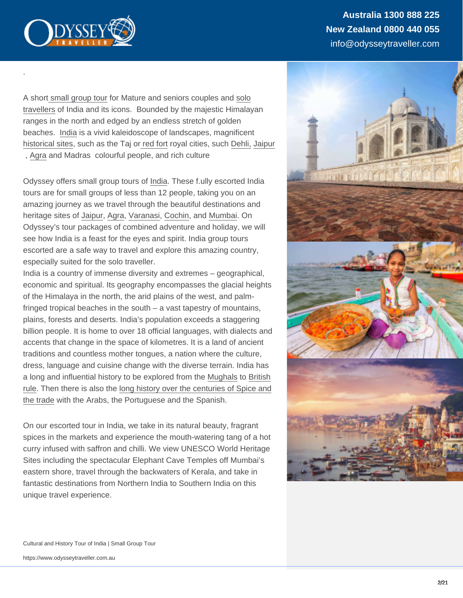Australia 1300 888 225 New Zealand 0800 440 055 info@odysseytraveller.com

A short [small group tour](https://www.odysseytraveller.com/articles/small-group-tours-for-seniors/) for Mature and seniors couples and [solo](https://www.odysseytraveller.com/articles/solo-travel-guide-for-senior-travellers-small-group-tours/) [travellers](https://www.odysseytraveller.com/articles/solo-travel-guide-for-senior-travellers-small-group-tours/) of India and its icons. Bounded by the majestic Himalayan ranges in the north and edged by an endless stretch of golden beaches. [India](https://www.odysseytraveller.com/articles/indias-mughal-empire/) is a vivid kaleidoscope of landscapes, magnificent [historical sites,](https://www.odysseytraveller.com/articles/dicovering-india/) such as the Taj or [red fort](https://www.odysseytraveller.com/articles/the-red-fort-delhi/) royal cities, such [Dehli,](https://www.odysseytraveller.com/articles/delhi-india/) [Jaipur](https://www.odysseytraveller.com/articles/jaipur-india/) , [Agra](https://www.odysseytraveller.com/articles/agra-india/) and Madras colourful people, and rich culture

.

Odyssey offers small group tours of [India](https://www.odysseytraveller.com/articles/dicovering-india/). These f.ully escorted India tours are for small groups of less than 12 people, taking you on an amazing journey as we travel through the beautiful destinations and heritage sites of [Jaipur](https://www.odysseytraveller.com/articles/jaipur-india/), [Agra](https://www.odysseytraveller.com/articles/agra-india/), [Varanasi,](https://www.odysseytraveller.com/articles/varanasi-india/) [Cochin](https://www.odysseytraveller.com/articles/cochin-kochi-india/), and [Mumbai.](https://www.odysseytraveller.com/articles/mumbai-india/) On Odyssey's tour packages of combined adventure and holiday, we will see how India is a feast for the eyes and spirit. India group tours escorted are a safe way to travel and explore this amazing country, especially suited for the solo traveller.

India is a country of immense diversity and extremes – geographical, economic and spiritual. Its geography encompasses the glacial heights of the Himalaya in the north, the arid plains of the west, and palmfringed tropical beaches in the south – a vast tapestry of mountains, plains, forests and deserts. India's population exceeds a staggering billion people. It is home to over 18 official languages, with dialects and accents that change in the space of kilometres. It is a land of ancient traditions and countless mother tongues, a nation where the culture, dress, language and cuisine change with the diverse terrain. India has a long and influential history to be explored from the [Mughals](https://www.odysseytraveller.com/articles/history-india-mughals-marathas/) to [British](https://www.odysseytraveller.com/articles/history-british-rule-india-1750-1805/) [rule](https://www.odysseytraveller.com/articles/history-british-rule-india-1750-1805/). Then there is also the [long history over the centuries of Spice and](https://www.odysseytraveller.com/book/spices-indian-ocean-world-expanding-world-european-impact-world-history-1450-1800/) [the trade](https://www.odysseytraveller.com/book/spices-indian-ocean-world-expanding-world-european-impact-world-history-1450-1800/) with the Arabs, the Portuguese and the Spanish.

On our escorted tour in India, we take in its natural beauty, fragrant spices in the markets and experience the mouth-watering tang of a hot curry infused with saffron and chilli. We view UNESCO World Heritage Sites including the spectacular Elephant Cave Temples off Mumbai's eastern shore, travel through the backwaters of Kerala, and take in fantastic destinations from Northern India to Southern India on this unique travel experience.

Cultural and History Tour of India | Small Group Tour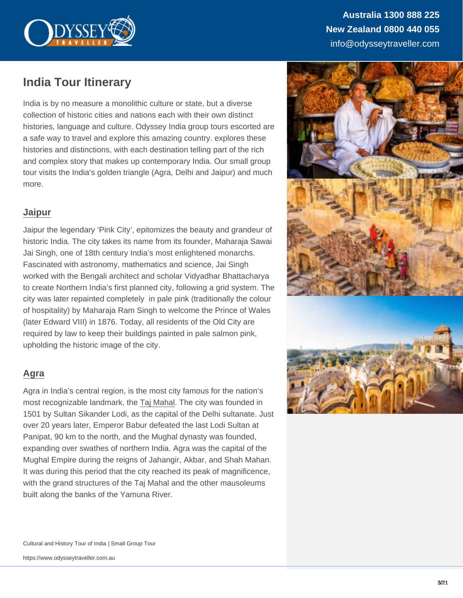Australia 1300 888 225 New Zealand 0800 440 055 info@odysseytraveller.com

## India Tour Itinerary

India is by no measure a monolithic culture or state, but a diverse collection of historic cities and nations each with their own distinct histories, language and culture. Odyssey India group tours escorted are a safe way to travel and explore this amazing country. explores these histories and distinctions, with each destination telling part of the rich and complex story that makes up contemporary India. Our small group tour visits the India's golden triangle (Agra, Delhi and Jaipur) and much more.

## [Jaipur](https://www.odysseytraveller.com/articles/jaipur-india/)

Jaipur the legendary 'Pink City', epitomizes the beauty and grandeur of historic India. The city takes its name from its founder, Maharaja Sawai Jai Singh, one of 18th century India's most enlightened monarchs. Fascinated with astronomy, mathematics and science, Jai Singh worked with the Bengali architect and scholar Vidyadhar Bhattacharya to create Northern India's first planned city, following a grid system. The city was later repainted completely in pale pink (traditionally the colour of hospitality) by Maharaja Ram Singh to welcome the Prince of Wales (later Edward VIII) in 1876. Today, all residents of the Old City are required by law to keep their buildings painted in pale salmon pink, upholding the historic image of the city.

## [Agra](https://www.odysseytraveller.com/articles/agra-india/)

Agra in India's central region, is the most city famous for the nation's most recognizable landmark, the [Taj Mahal](https://www.odysseytraveller.com/articles/taj-mahal-india/). The city was founded in 1501 by Sultan Sikander Lodi, as the capital of the Delhi sultanate. Just over 20 years later, Emperor Babur defeated the last Lodi Sultan at Panipat, 90 km to the north, and the Mughal dynasty was founded, expanding over swathes of northern India. Agra was the capital of the Mughal Empire during the reigns of Jahangir, Akbar, and Shah Mahan. It was during this period that the city reached its peak of magnificence, with the grand structures of the Taj Mahal and the other mausoleums built along the banks of the Yamuna River.

Cultural and History Tour of India | Small Group Tour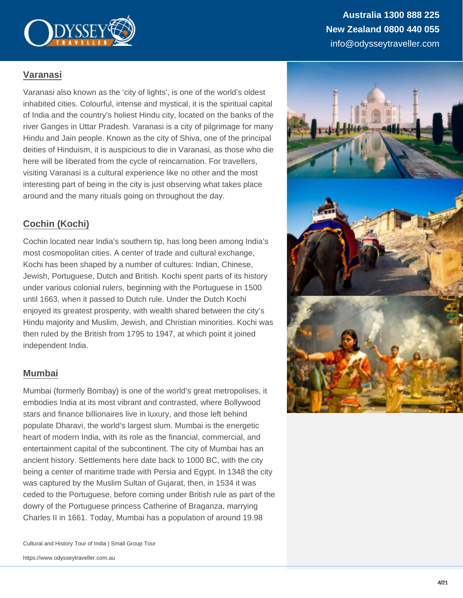## [Varanasi](https://www.odysseytraveller.com/articles/varanasi-india/)

Varanasi also known as the 'city of lights', is one of the world's oldest inhabited cities. Colourful, intense and mystical, it is the spiritual capital of India and the country's holiest Hindu city, located on the banks of the river Ganges in Uttar Pradesh. Varanasi is a city of pilgrimage for many Hindu and Jain people. Known as the city of Shiva, one of the principal deities of Hinduism, it is auspicious to die in Varanasi, as those who die here will be liberated from the cycle of reincarnation. For travellers, visiting Varanasi is a cultural experience like no other and the most interesting part of being in the city is just observing what takes place around and the many rituals going on throughout the day.

## [Cochin \(Kochi\)](https://www.odysseytraveller.com/articles/cochin-kochi-india/)

Cochin located near India's southern tip, has long been among India's most cosmopolitan cities. A center of trade and cultural exchange, Kochi has been shaped by a number of cultures: Indian, Chinese, Jewish, Portuguese, Dutch and British. Kochi spent parts of its history under various colonial rulers, beginning with the Portuguese in 1500 until 1663, when it passed to Dutch rule. Under the Dutch Kochi enjoyed its greatest prosperity, with wealth shared between the city's Hindu majority and Muslim, Jewish, and Christian minorities. Kochi was then ruled by the British from 1795 to 1947, at which point it joined independent India.

## [Mumbai](https://www.odysseytraveller.com/articles/mumbai-india/)

Mumbai (formerly Bombay) is one of the world's great metropolises, it embodies India at its most vibrant and contrasted, where Bollywood stars and finance billionaires live in luxury, and those left behind populate Dharavi, the world's largest slum. Mumbai is the energetic heart of modern India, with its role as the financial, commercial, and entertainment capital of the subcontinent. The city of Mumbai has an ancient history. Settlements here date back to 1000 BC, with the city being a center of maritime trade with Persia and Egypt. In 1348 the city was captured by the Muslim Sultan of Gujarat, then, in 1534 it was ceded to the Portuguese, before coming under British rule as part of the dowry of the Portuguese princess Catherine of Braganza, marrying Charles II in 1661. Today, Mumbai has a population of around 19.98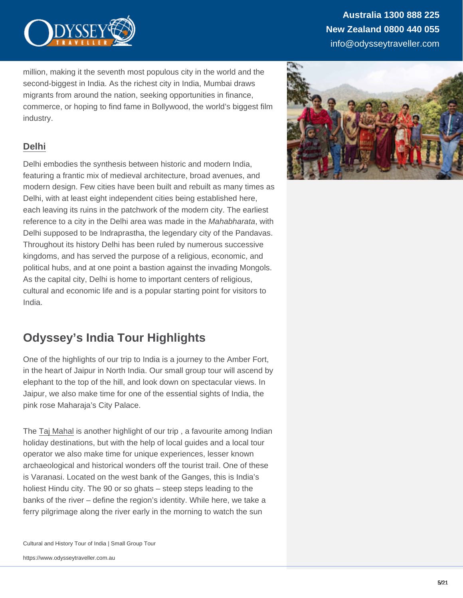million, making it the seventh most populous city in the world and the second-biggest in India. As the richest city in India, Mumbai draws migrants from around the nation, seeking opportunities in finance, commerce, or hoping to find fame in Bollywood, the world's biggest film industry.

## [Delhi](https://www.odysseytraveller.com/articles/delhi-india/)

Delhi embodies the synthesis between historic and modern India, featuring a frantic mix of medieval architecture, broad avenues, and modern design. Few cities have been built and rebuilt as many times as Delhi, with at least eight independent cities being established here, each leaving its ruins in the patchwork of the modern city. The earliest reference to a city in the Delhi area was made in the Mahabharata, with Delhi supposed to be Indraprastha, the legendary city of the Pandavas. Throughout its history Delhi has been ruled by numerous successive kingdoms, and has served the purpose of a religious, economic, and political hubs, and at one point a bastion against the invading Mongols. As the capital city, Delhi is home to important centers of religious, cultural and economic life and is a popular starting point for visitors to India.

## Odyssey's India Tour Highlights

One of the highlights of our trip to India is a journey to the Amber Fort, in the heart of Jaipur in North India. Our small group tour will ascend by elephant to the top of the hill, and look down on spectacular views. In Jaipur, we also make time for one of the essential sights of India, the pink rose Maharaja's City Palace.

The [Taj Mahal](https://www.odysseytraveller.com/articles/taj-mahal-india/) is another highlight of our trip , a favourite among Indian holiday destinations, but with the help of local guides and a local tour operator we also make time for unique experiences, lesser known archaeological and historical wonders off the tourist trail. One of these is Varanasi. Located on the west bank of the Ganges, this is India's holiest Hindu city. The 90 or so ghats – steep steps leading to the banks of the river – define the region's identity. While here, we take a ferry pilgrimage along the river early in the morning to watch the sun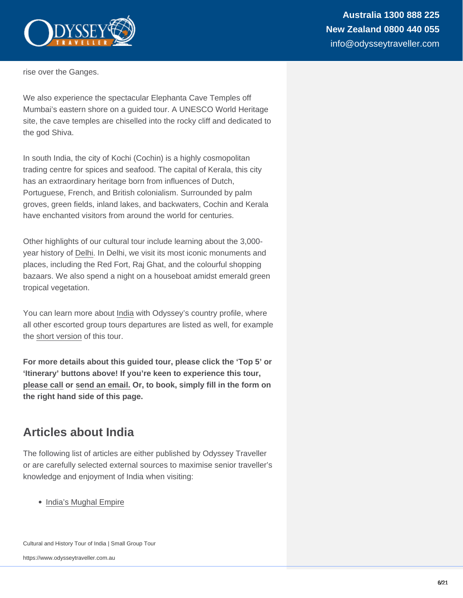rise over the Ganges.

We also experience the spectacular Elephanta Cave Temples off Mumbai's eastern shore on a guided tour. A UNESCO World Heritage site, the cave temples are chiselled into the rocky cliff and dedicated to the god Shiva.

In south India, the city of Kochi (Cochin) is a highly cosmopolitan trading centre for spices and seafood. The capital of Kerala, this city has an extraordinary heritage born from influences of Dutch, Portuguese, French, and British colonialism. Surrounded by palm groves, green fields, inland lakes, and backwaters, Cochin and Kerala have enchanted visitors from around the world for centuries.

Other highlights of our cultural tour include learning about the 3,000 year history of [Delhi](https://www.odysseytraveller.com/articles/delhi-india/). In Delhi, we visit its most iconic monuments and places, including the Red Fort, Raj Ghat, and the colourful shopping bazaars. We also spend a night on a houseboat amidst emerald green tropical vegetation.

You can learn more about [India](https://www.odysseytraveller.com/destinations/asia-and-the-orient/india/) with Odyssey's country profile, where all other escorted group tours departures are listed as well, for example the [short version](https://www.odysseytraveller.com/tours-small-groups/small-group-tours-india/) of this tour.

For more details about this guided tour, please click the 'Top 5' or 'Itinerary' buttons above! If you're keen to experience this tour, [please call](https://www.odysseytraveller.com/contact-us/) or [send an email.](mailto:info@odysseytravel.com.au) Or, to book, simply fill in the form on the right hand side of this page.

## Articles about India

The following list of articles are either published by Odyssey Traveller or are carefully selected external sources to maximise senior traveller's knowledge and enjoyment of India when visiting:

• [India's Mughal Empire](https://www.odysseytraveller.com/articles/indias-mughal-empire/)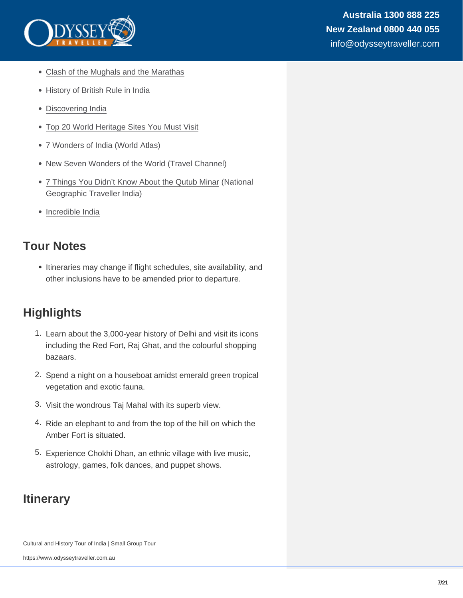- [Clash of the Mughals and the Marathas](https://www.odysseytraveller.com/articles/history-india-mughals-marathas/)
- [History of British Rule in India](https://www.odysseytraveller.com/articles/history-british-rule-india-1750-1805/)
- [Discovering India](https://www.odysseytraveller.com/articles/dicovering-india/)
- [Top 20 World Heritage Sites You Must Visit](https://www.odysseytraveller.com/articles/top-20-world-heritage-sites-must-visit/)
- [7 Wonders of India](https://www.worldatlas.com/articles/the-7-wonders-of-india.html) (World Atlas)
- [New Seven Wonders of the World](https://www.travelchannel.com/interests/outdoors-and-adventure/articles/new-seven-wonders-of-the-world) (Travel Channel)
- [7 Things You Didn't Know About the Qutub Minar](http://www.natgeotraveller.in/7-things-you-didnt-know-about-the-qutub-minar/) (National Geographic Traveller India)
- [Incredible India](https://www.incredibleindia.org/content/incredible-india-v2/en.html)

## Tour Notes

• Itineraries may change if flight schedules, site availability, and other inclusions have to be amended prior to departure.

## **Highlights**

- 1. Learn about the 3,000-year history of Delhi and visit its icons including the Red Fort, Raj Ghat, and the colourful shopping bazaars.
- 2. Spend a night on a houseboat amidst emerald green tropical vegetation and exotic fauna.
- 3. Visit the wondrous Taj Mahal with its superb view.
- 4. Ride an elephant to and from the top of the hill on which the Amber Fort is situated.
- 5. Experience Chokhi Dhan, an ethnic village with live music, astrology, games, folk dances, and puppet shows.

## **Itinerary**

Cultural and History Tour of India | Small Group Tour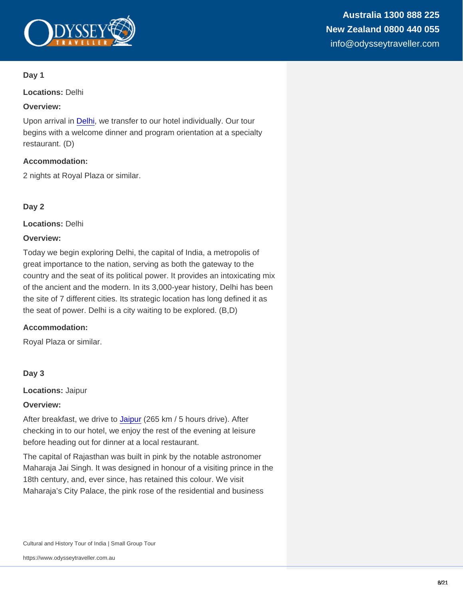Locations: Delhi

Overview:

Upon arrival in [Delhi](https://www.odysseytraveller.com/articles/delhi-india/), we transfer to our hotel individually. Our tour begins with a welcome dinner and program orientation at a specialty restaurant. (D)

Accommodation:

2 nights at Royal Plaza or similar.

Day 2

Locations: Delhi

Overview:

Today we begin exploring Delhi, the capital of India, a metropolis of great importance to the nation, serving as both the gateway to the country and the seat of its political power. It provides an intoxicating mix of the ancient and the modern. In its 3,000-year history, Delhi has been the site of 7 different cities. Its strategic location has long defined it as the seat of power. Delhi is a city waiting to be explored. (B,D)

Accommodation:

Royal Plaza or similar.

Day 3

Locations: Jaipur

Overview:

After breakfast, we drive to [Jaipur](https://www.odysseytraveller.com/articles/jaipur-india/) (265 km / 5 hours drive). After checking in to our hotel, we enjoy the rest of the evening at leisure before heading out for dinner at a local restaurant.

The capital of Rajasthan was built in pink by the notable astronomer Maharaja Jai Singh. It was designed in honour of a visiting prince in the 18th century, and, ever since, has retained this colour. We visit Maharaja's City Palace, the pink rose of the residential and business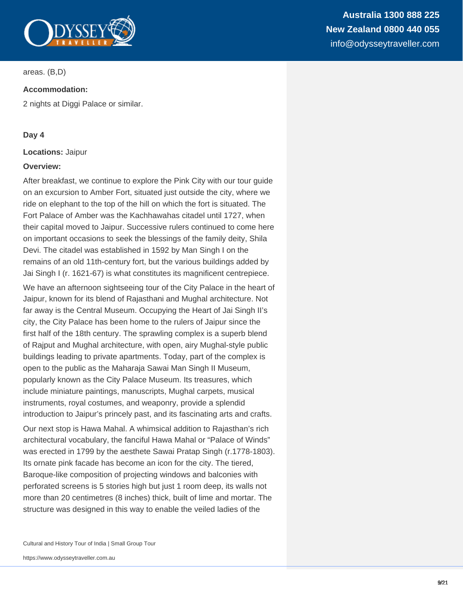

areas. (B,D)

#### **Accommodation:**

2 nights at Diggi Palace or similar.

#### **Day 4**

#### **Locations:** Jaipur

#### **Overview:**

After breakfast, we continue to explore the Pink City with our tour guide on an excursion to Amber Fort, situated just outside the city, where we ride on elephant to the top of the hill on which the fort is situated. The Fort Palace of Amber was the Kachhawahas citadel until 1727, when their capital moved to Jaipur. Successive rulers continued to come here on important occasions to seek the blessings of the family deity, Shila Devi. The citadel was established in 1592 by Man Singh I on the remains of an old 11th-century fort, but the various buildings added by Jai Singh I (r. 1621-67) is what constitutes its magnificent centrepiece.

We have an afternoon sightseeing tour of the City Palace in the heart of Jaipur, known for its blend of Rajasthani and Mughal architecture. Not far away is the Central Museum. Occupying the Heart of Jai Singh II's city, the City Palace has been home to the rulers of Jaipur since the first half of the 18th century. The sprawling complex is a superb blend of Rajput and Mughal architecture, with open, airy Mughal-style public buildings leading to private apartments. Today, part of the complex is open to the public as the Maharaja Sawai Man Singh II Museum, popularly known as the City Palace Museum. Its treasures, which include miniature paintings, manuscripts, Mughal carpets, musical instruments, royal costumes, and weaponry, provide a splendid introduction to Jaipur's princely past, and its fascinating arts and crafts.

Our next stop is Hawa Mahal. A whimsical addition to Rajasthan's rich architectural vocabulary, the fanciful Hawa Mahal or "Palace of Winds" was erected in 1799 by the aesthete Sawai Pratap Singh (r.1778-1803). Its ornate pink facade has become an icon for the city. The tiered, Baroque-like composition of projecting windows and balconies with perforated screens is 5 stories high but just 1 room deep, its walls not more than 20 centimetres (8 inches) thick, built of lime and mortar. The structure was designed in this way to enable the veiled ladies of the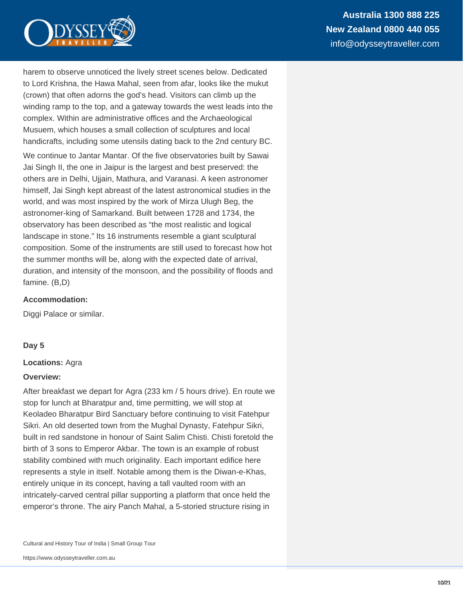

harem to observe unnoticed the lively street scenes below. Dedicated to Lord Krishna, the Hawa Mahal, seen from afar, looks like the mukut (crown) that often adorns the god's head. Visitors can climb up the winding ramp to the top, and a gateway towards the west leads into the complex. Within are administrative offices and the Archaeological Musuem, which houses a small collection of sculptures and local handicrafts, including some utensils dating back to the 2nd century BC.

We continue to Jantar Mantar. Of the five observatories built by Sawai Jai Singh II, the one in Jaipur is the largest and best preserved: the others are in Delhi, Ujjain, Mathura, and Varanasi. A keen astronomer himself, Jai Singh kept abreast of the latest astronomical studies in the world, and was most inspired by the work of Mirza Ulugh Beg, the astronomer-king of Samarkand. Built between 1728 and 1734, the observatory has been described as "the most realistic and logical landscape in stone." Its 16 instruments resemble a giant sculptural composition. Some of the instruments are still used to forecast how hot the summer months will be, along with the expected date of arrival, duration, and intensity of the monsoon, and the possibility of floods and famine. (B,D)

#### **Accommodation:**

Diggi Palace or similar.

#### **Day 5**

#### **Locations:** Agra

#### **Overview:**

After breakfast we depart for Agra (233 km / 5 hours drive). En route we stop for lunch at Bharatpur and, time permitting, we will stop at Keoladeo Bharatpur Bird Sanctuary before continuing to visit Fatehpur Sikri. An old deserted town from the Mughal Dynasty, Fatehpur Sikri, built in red sandstone in honour of Saint Salim Chisti. Chisti foretold the birth of 3 sons to Emperor Akbar. The town is an example of robust stability combined with much originality. Each important edifice here represents a style in itself. Notable among them is the Diwan-e-Khas, entirely unique in its concept, having a tall vaulted room with an intricately-carved central pillar supporting a platform that once held the emperor's throne. The airy Panch Mahal, a 5-storied structure rising in

Cultural and History Tour of India | Small Group Tour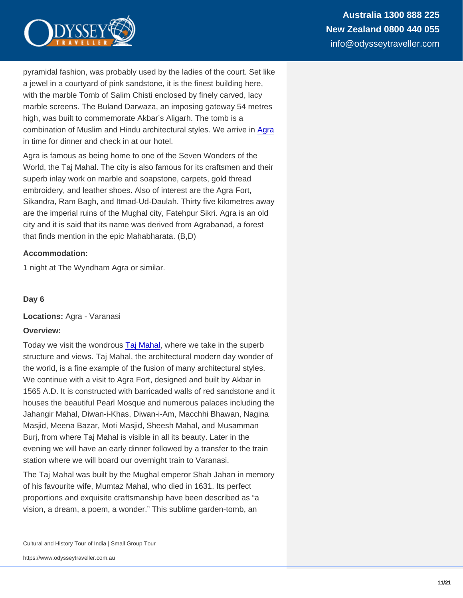pyramidal fashion, was probably used by the ladies of the court. Set like a jewel in a courtyard of pink sandstone, it is the finest building here, with the marble Tomb of Salim Chisti enclosed by finely carved, lacy marble screens. The Buland Darwaza, an imposing gateway 54 metres high, was built to commemorate Akbar's Aligarh. The tomb is a combination of Muslim and Hindu architectural styles. We arrive in [Agra](https://www.odysseytraveller.com/articles/agra-india/) in time for dinner and check in at our hotel.

Agra is famous as being home to one of the Seven Wonders of the World, the Taj Mahal. The city is also famous for its craftsmen and their superb inlay work on marble and soapstone, carpets, gold thread embroidery, and leather shoes. Also of interest are the Agra Fort, Sikandra, Ram Bagh, and Itmad-Ud-Daulah. Thirty five kilometres away are the imperial ruins of the Mughal city, Fatehpur Sikri. Agra is an old city and it is said that its name was derived from Agrabanad, a forest that finds mention in the epic Mahabharata. (B,D)

Accommodation:

1 night at The Wyndham Agra or similar.

Day 6

Locations: Agra - Varanasi

Overview:

Today we visit the wondrous [Taj Mahal](https://www.odysseytraveller.com/articles/taj-mahal-india/), where we take in the superb structure and views. Taj Mahal, the architectural modern day wonder of the world, is a fine example of the fusion of many architectural styles. We continue with a visit to Agra Fort, designed and built by Akbar in 1565 A.D. It is constructed with barricaded walls of red sandstone and it houses the beautiful Pearl Mosque and numerous palaces including the Jahangir Mahal, Diwan-i-Khas, Diwan-i-Am, Macchhi Bhawan, Nagina Masjid, Meena Bazar, Moti Masjid, Sheesh Mahal, and Musamman Burj, from where Taj Mahal is visible in all its beauty. Later in the evening we will have an early dinner followed by a transfer to the train station where we will board our overnight train to Varanasi.

The Taj Mahal was built by the Mughal emperor Shah Jahan in memory of his favourite wife, Mumtaz Mahal, who died in 1631. Its perfect proportions and exquisite craftsmanship have been described as "a vision, a dream, a poem, a wonder." This sublime garden-tomb, an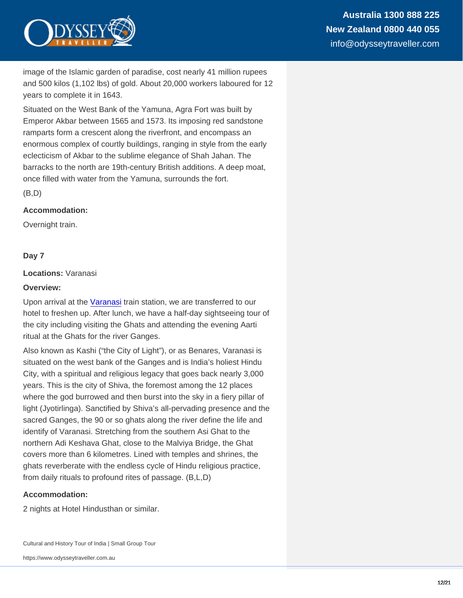image of the Islamic garden of paradise, cost nearly 41 million rupees and 500 kilos (1,102 lbs) of gold. About 20,000 workers laboured for 12 years to complete it in 1643.

Situated on the West Bank of the Yamuna, Agra Fort was built by Emperor Akbar between 1565 and 1573. Its imposing red sandstone ramparts form a crescent along the riverfront, and encompass an enormous complex of courtly buildings, ranging in style from the early eclecticism of Akbar to the sublime elegance of Shah Jahan. The barracks to the north are 19th-century British additions. A deep moat, once filled with water from the Yamuna, surrounds the fort.

(B,D)

Accommodation:

Overnight train.

#### Day 7

Locations: Varanasi

Overview:

Upon arrival at the [Varanasi](https://www.odysseytraveller.com/articles/varanasi-india/) train station, we are transferred to our hotel to freshen up. After lunch, we have a half-day sightseeing tour of the city including visiting the Ghats and attending the evening Aarti ritual at the Ghats for the river Ganges.

Also known as Kashi ("the City of Light"), or as Benares, Varanasi is situated on the west bank of the Ganges and is India's holiest Hindu City, with a spiritual and religious legacy that goes back nearly 3,000 years. This is the city of Shiva, the foremost among the 12 places where the god burrowed and then burst into the sky in a fiery pillar of light (Jyotirlinga). Sanctified by Shiva's all-pervading presence and the sacred Ganges, the 90 or so ghats along the river define the life and identify of Varanasi. Stretching from the southern Asi Ghat to the northern Adi Keshava Ghat, close to the Malviya Bridge, the Ghat covers more than 6 kilometres. Lined with temples and shrines, the ghats reverberate with the endless cycle of Hindu religious practice, from daily rituals to profound rites of passage. (B,L,D)

Accommodation:

2 nights at Hotel Hindusthan or similar.

Cultural and History Tour of India | Small Group Tour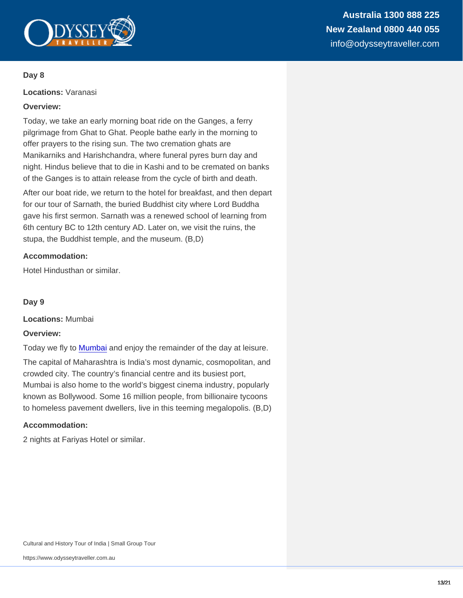Australia 1300 888 225 New Zealand 0800 440 055 info@odysseytraveller.com

#### Day 8

Locations: Varanasi

Overview:

Today, we take an early morning boat ride on the Ganges, a ferry pilgrimage from Ghat to Ghat. People bathe early in the morning to offer prayers to the rising sun. The two cremation ghats are Manikarniks and Harishchandra, where funeral pyres burn day and night. Hindus believe that to die in Kashi and to be cremated on banks of the Ganges is to attain release from the cycle of birth and death.

After our boat ride, we return to the hotel for breakfast, and then depart for our tour of Sarnath, the buried Buddhist city where Lord Buddha gave his first sermon. Sarnath was a renewed school of learning from 6th century BC to 12th century AD. Later on, we visit the ruins, the stupa, the Buddhist temple, and the museum. (B,D)

Accommodation:

Hotel Hindusthan or similar.

Day 9

Locations: Mumbai

Overview:

Today we fly to [Mumbai](https://www.odysseytraveller.com/articles/mumbai-india/) and enjoy the remainder of the day at leisure.

The capital of Maharashtra is India's most dynamic, cosmopolitan, and crowded city. The country's financial centre and its busiest port, Mumbai is also home to the world's biggest cinema industry, popularly known as Bollywood. Some 16 million people, from billionaire tycoons to homeless pavement dwellers, live in this teeming megalopolis. (B,D)

Accommodation:

2 nights at Fariyas Hotel or similar.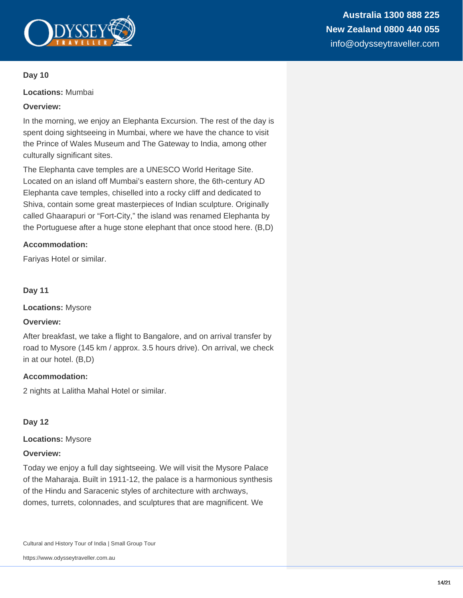

**Locations:** Mumbai

## **Overview:**

In the morning, we enjoy an Elephanta Excursion. The rest of the day is spent doing sightseeing in Mumbai, where we have the chance to visit the Prince of Wales Museum and The Gateway to India, among other culturally significant sites.

The Elephanta cave temples are a UNESCO World Heritage Site. Located on an island off Mumbai's eastern shore, the 6th-century AD Elephanta cave temples, chiselled into a rocky cliff and dedicated to Shiva, contain some great masterpieces of Indian sculpture. Originally called Ghaarapuri or "Fort-City," the island was renamed Elephanta by the Portuguese after a huge stone elephant that once stood here. (B,D)

## **Accommodation:**

Fariyas Hotel or similar.

**Day 11**

**Locations:** Mysore

## **Overview:**

After breakfast, we take a flight to Bangalore, and on arrival transfer by road to Mysore (145 km / approx. 3.5 hours drive). On arrival, we check in at our hotel. (B,D)

#### **Accommodation:**

2 nights at Lalitha Mahal Hotel or similar.

## **Day 12**

#### **Locations:** Mysore

#### **Overview:**

Today we enjoy a full day sightseeing. We will visit the Mysore Palace of the Maharaja. Built in 1911-12, the palace is a harmonious synthesis of the Hindu and Saracenic styles of architecture with archways, domes, turrets, colonnades, and sculptures that are magnificent. We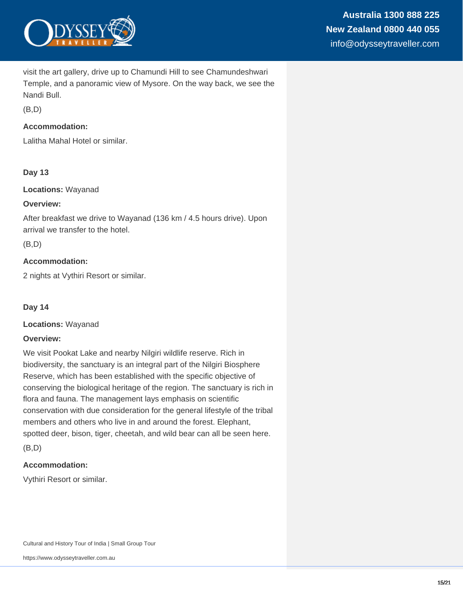

visit the art gallery, drive up to Chamundi Hill to see Chamundeshwari Temple, and a panoramic view of Mysore. On the way back, we see the Nandi Bull.

 $(B.D)$ 

## **Accommodation:**

Lalitha Mahal Hotel or similar.

## **Day 13**

**Locations:** Wayanad

#### **Overview:**

After breakfast we drive to Wayanad (136 km / 4.5 hours drive). Upon arrival we transfer to the hotel.

(B,D)

## **Accommodation:**

2 nights at Vythiri Resort or similar.

**Day 14**

**Locations:** Wayanad

#### **Overview:**

We visit Pookat Lake and nearby Nilgiri wildlife reserve. Rich in biodiversity, the sanctuary is an integral part of the Nilgiri Biosphere Reserve, which has been established with the specific objective of conserving the biological heritage of the region. The sanctuary is rich in flora and fauna. The management lays emphasis on scientific conservation with due consideration for the general lifestyle of the tribal members and others who live in and around the forest. Elephant, spotted deer, bison, tiger, cheetah, and wild bear can all be seen here.

(B,D)

## **Accommodation:**

Vythiri Resort or similar.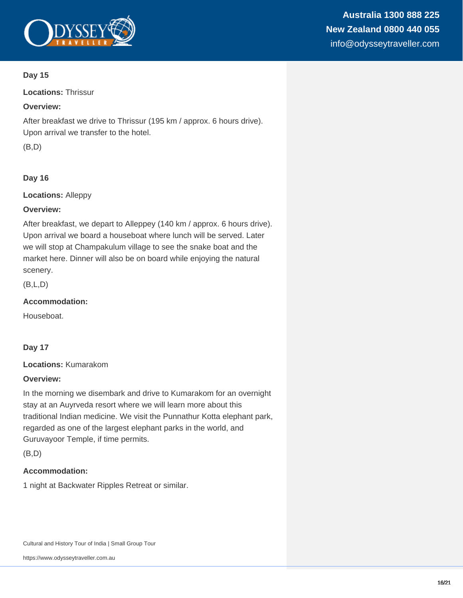

**Locations:** Thrissur

## **Overview:**

After breakfast we drive to Thrissur (195 km / approx. 6 hours drive). Upon arrival we transfer to the hotel.

(B,D)

## **Day 16**

**Locations:** Alleppy

## **Overview:**

After breakfast, we depart to Alleppey (140 km / approx. 6 hours drive). Upon arrival we board a houseboat where lunch will be served. Later we will stop at Champakulum village to see the snake boat and the market here. Dinner will also be on board while enjoying the natural scenery.

(B,L,D)

## **Accommodation:**

Houseboat.

## **Day 17**

**Locations:** Kumarakom

## **Overview:**

In the morning we disembark and drive to Kumarakom for an overnight stay at an Auyrveda resort where we will learn more about this traditional Indian medicine. We visit the Punnathur Kotta elephant park, regarded as one of the largest elephant parks in the world, and Guruvayoor Temple, if time permits.

(B,D)

## **Accommodation:**

1 night at Backwater Ripples Retreat or similar.

Cultural and History Tour of India | Small Group Tour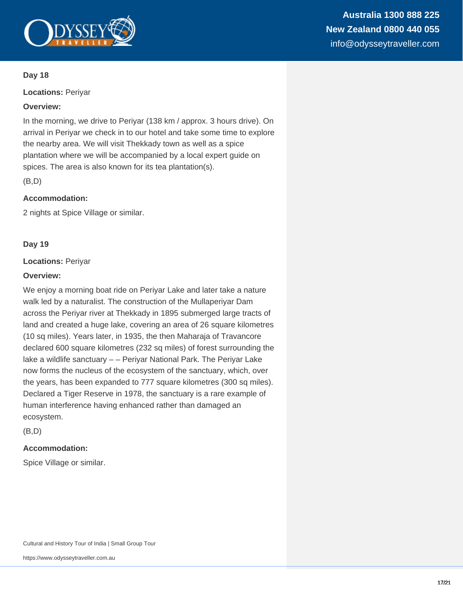

**Locations:** Periyar

### **Overview:**

In the morning, we drive to Periyar (138 km / approx. 3 hours drive). On arrival in Periyar we check in to our hotel and take some time to explore the nearby area. We will visit Thekkady town as well as a spice plantation where we will be accompanied by a local expert guide on spices. The area is also known for its tea plantation(s).

(B,D)

## **Accommodation:**

2 nights at Spice Village or similar.

## **Day 19**

## **Locations:** Periyar

#### **Overview:**

We enjoy a morning boat ride on Periyar Lake and later take a nature walk led by a naturalist. The construction of the Mullaperiyar Dam across the Periyar river at Thekkady in 1895 submerged large tracts of land and created a huge lake, covering an area of 26 square kilometres (10 sq miles). Years later, in 1935, the then Maharaja of Travancore declared 600 square kilometres (232 sq miles) of forest surrounding the lake a wildlife sanctuary – – Periyar National Park. The Periyar Lake now forms the nucleus of the ecosystem of the sanctuary, which, over the years, has been expanded to 777 square kilometres (300 sq miles). Declared a Tiger Reserve in 1978, the sanctuary is a rare example of human interference having enhanced rather than damaged an ecosystem.

(B,D)

## **Accommodation:**

Spice Village or similar.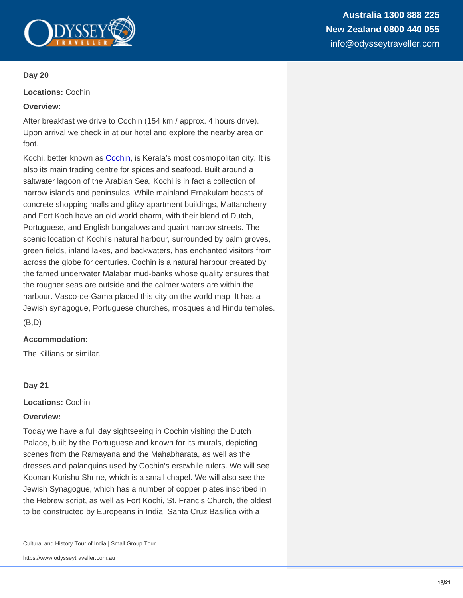Locations: Cochin

Overview:

After breakfast we drive to Cochin (154 km / approx. 4 hours drive). Upon arrival we check in at our hotel and explore the nearby area on foot.

Kochi, better known as [Cochin](https://www.odysseytraveller.com/articles/cochin-kochi-india/), is Kerala's most cosmopolitan city. It is also its main trading centre for spices and seafood. Built around a saltwater lagoon of the Arabian Sea, Kochi is in fact a collection of narrow islands and peninsulas. While mainland Ernakulam boasts of concrete shopping malls and glitzy apartment buildings, Mattancherry and Fort Koch have an old world charm, with their blend of Dutch, Portuguese, and English bungalows and quaint narrow streets. The scenic location of Kochi's natural harbour, surrounded by palm groves, green fields, inland lakes, and backwaters, has enchanted visitors from across the globe for centuries. Cochin is a natural harbour created by the famed underwater Malabar mud-banks whose quality ensures that the rougher seas are outside and the calmer waters are within the harbour. Vasco-de-Gama placed this city on the world map. It has a Jewish synagogue, Portuguese churches, mosques and Hindu temples.

(B,D)

Accommodation:

The Killians or similar.

Day 21

Locations: Cochin

Overview:

Today we have a full day sightseeing in Cochin visiting the Dutch Palace, built by the Portuguese and known for its murals, depicting scenes from the Ramayana and the Mahabharata, as well as the dresses and palanquins used by Cochin's erstwhile rulers. We will see Koonan Kurishu Shrine, which is a small chapel. We will also see the Jewish Synagogue, which has a number of copper plates inscribed in the Hebrew script, as well as Fort Kochi, St. Francis Church, the oldest to be constructed by Europeans in India, Santa Cruz Basilica with a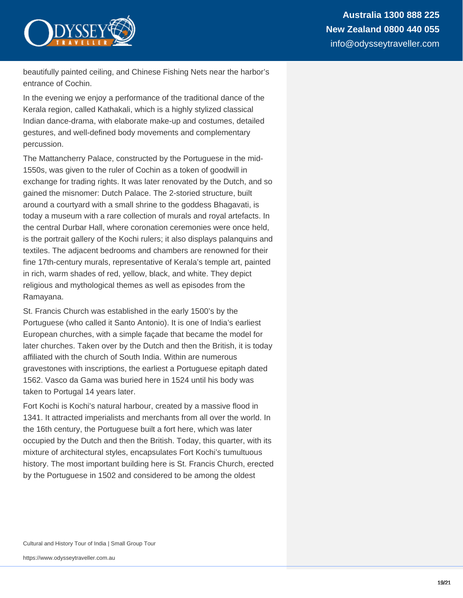

beautifully painted ceiling, and Chinese Fishing Nets near the harbor's entrance of Cochin.

In the evening we enjoy a performance of the traditional dance of the Kerala region, called Kathakali, which is a highly stylized classical Indian dance-drama, with elaborate make-up and costumes, detailed gestures, and well-defined body movements and complementary percussion.

The Mattancherry Palace, constructed by the Portuguese in the mid-1550s, was given to the ruler of Cochin as a token of goodwill in exchange for trading rights. It was later renovated by the Dutch, and so gained the misnomer: Dutch Palace. The 2-storied structure, built around a courtyard with a small shrine to the goddess Bhagavati, is today a museum with a rare collection of murals and royal artefacts. In the central Durbar Hall, where coronation ceremonies were once held, is the portrait gallery of the Kochi rulers; it also displays palanquins and textiles. The adjacent bedrooms and chambers are renowned for their fine 17th-century murals, representative of Kerala's temple art, painted in rich, warm shades of red, yellow, black, and white. They depict religious and mythological themes as well as episodes from the Ramayana.

St. Francis Church was established in the early 1500's by the Portuguese (who called it Santo Antonio). It is one of India's earliest European churches, with a simple façade that became the model for later churches. Taken over by the Dutch and then the British, it is today affiliated with the church of South India. Within are numerous gravestones with inscriptions, the earliest a Portuguese epitaph dated 1562. Vasco da Gama was buried here in 1524 until his body was taken to Portugal 14 years later.

Fort Kochi is Kochi's natural harbour, created by a massive flood in 1341. It attracted imperialists and merchants from all over the world. In the 16th century, the Portuguese built a fort here, which was later occupied by the Dutch and then the British. Today, this quarter, with its mixture of architectural styles, encapsulates Fort Kochi's tumultuous history. The most important building here is St. Francis Church, erected by the Portuguese in 1502 and considered to be among the oldest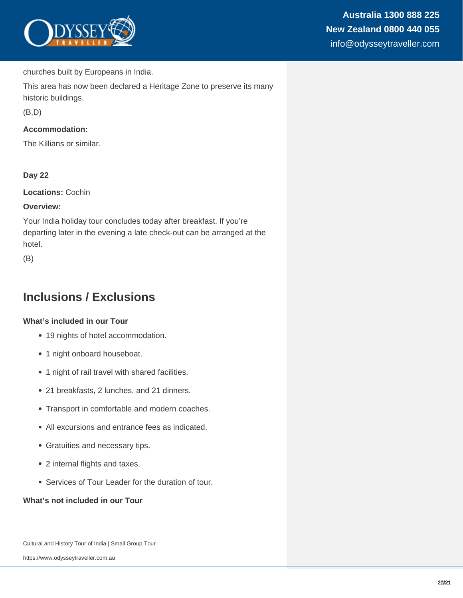

churches built by Europeans in India.

This area has now been declared a Heritage Zone to preserve its many historic buildings.

(B,D)

## **Accommodation:**

The Killians or similar.

## **Day 22**

**Locations:** Cochin

#### **Overview:**

Your India holiday tour concludes today after breakfast. If you're departing later in the evening a late check-out can be arranged at the hotel.

(B)

## **Inclusions / Exclusions**

#### **What's included in our Tour**

- 19 nights of hotel accommodation.
- 1 night onboard houseboat.
- 1 night of rail travel with shared facilities.
- 21 breakfasts, 2 lunches, and 21 dinners.
- Transport in comfortable and modern coaches.
- All excursions and entrance fees as indicated.
- Gratuities and necessary tips.
- 2 internal flights and taxes.
- Services of Tour Leader for the duration of tour.

#### **What's not included in our Tour**